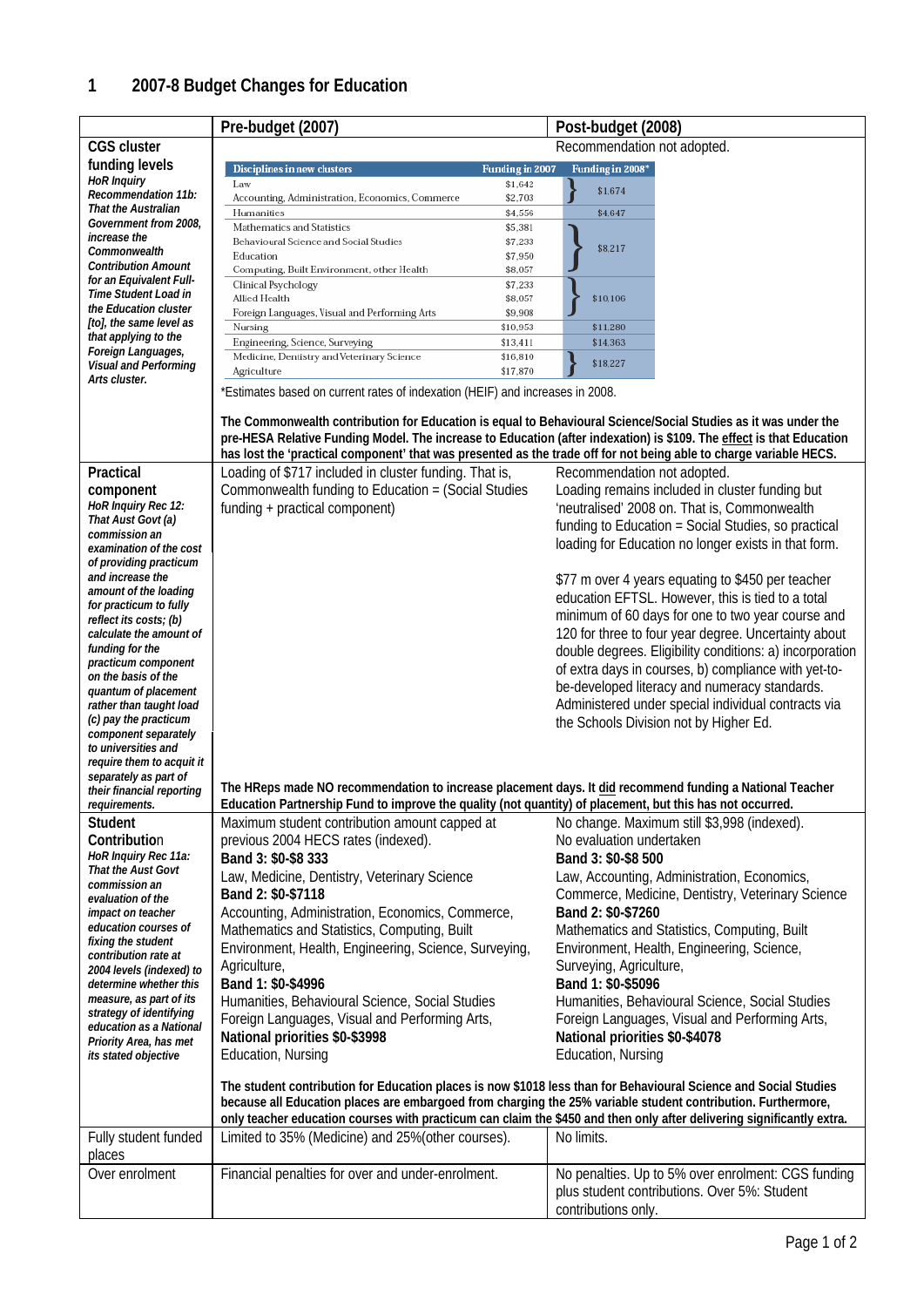|                                                    | Pre-budget (2007)                                                                                                                                                                                                                      |                      | Post-budget (2008)                                                                                                                                |  |  |
|----------------------------------------------------|----------------------------------------------------------------------------------------------------------------------------------------------------------------------------------------------------------------------------------------|----------------------|---------------------------------------------------------------------------------------------------------------------------------------------------|--|--|
| <b>CGS cluster</b>                                 |                                                                                                                                                                                                                                        |                      | Recommendation not adopted.                                                                                                                       |  |  |
| funding levels                                     | <b>Disciplines in new clusters</b>                                                                                                                                                                                                     |                      |                                                                                                                                                   |  |  |
| <b>HoR</b> Inquiry                                 | Law                                                                                                                                                                                                                                    | \$1,642              | \$1,674                                                                                                                                           |  |  |
| Recommendation 11b:<br>That the Australian         | Accounting, Administration, Economics, Commerce<br>Humanities                                                                                                                                                                          | \$2,703<br>\$4,556   | \$4.647                                                                                                                                           |  |  |
| Government from 2008,                              | Mathematics and Statistics                                                                                                                                                                                                             | \$5,381              |                                                                                                                                                   |  |  |
| increase the                                       | Behavioural Science and Social Studies                                                                                                                                                                                                 | \$7,233              | \$8,217                                                                                                                                           |  |  |
| Commonwealth<br><b>Contribution Amount</b>         | Education                                                                                                                                                                                                                              | \$7,950              |                                                                                                                                                   |  |  |
| for an Equivalent Full-                            | Computing, Built Environment, other Health                                                                                                                                                                                             | \$8,057              |                                                                                                                                                   |  |  |
| Time Student Load in                               | Clinical Psychology<br>Allied Health                                                                                                                                                                                                   | \$7,233<br>\$8,057   | \$10,106                                                                                                                                          |  |  |
| the Education cluster                              | Foreign Languages, Visual and Performing Arts                                                                                                                                                                                          | \$9,908              |                                                                                                                                                   |  |  |
| [to], the same level as                            | Nursing                                                                                                                                                                                                                                | \$10,953             | \$11,280                                                                                                                                          |  |  |
| that applying to the<br>Foreign Languages,         | Engineering, Science, Surveying                                                                                                                                                                                                        | \$13,411             | \$14,363                                                                                                                                          |  |  |
| <b>Visual and Performing</b>                       | Medicine, Dentistry and Veterinary Science<br>Agriculture                                                                                                                                                                              | \$16,810<br>\$17,870 | \$18,227                                                                                                                                          |  |  |
| Arts cluster.                                      | *Estimates based on current rates of indexation (HEIF) and increases in 2008.                                                                                                                                                          |                      |                                                                                                                                                   |  |  |
|                                                    |                                                                                                                                                                                                                                        |                      |                                                                                                                                                   |  |  |
|                                                    | The Commonwealth contribution for Education is equal to Behavioural Science/Social Studies as it was under the<br>pre-HESA Relative Funding Model. The increase to Education (after indexation) is \$109. The effect is that Education |                      |                                                                                                                                                   |  |  |
| Practical                                          | Loading of \$717 included in cluster funding. That is,                                                                                                                                                                                 |                      | has lost the 'practical component' that was presented as the trade off for not being able to charge variable HECS.<br>Recommendation not adopted. |  |  |
| component                                          | Commonwealth funding to Education = (Social Studies                                                                                                                                                                                    |                      | Loading remains included in cluster funding but                                                                                                   |  |  |
| HoR Inquiry Rec 12:                                | funding + practical component)                                                                                                                                                                                                         |                      | 'neutralised' 2008 on. That is, Commonwealth                                                                                                      |  |  |
| That Aust Govt (a)                                 |                                                                                                                                                                                                                                        |                      | funding to Education = Social Studies, so practical                                                                                               |  |  |
| commission an<br>examination of the cost           |                                                                                                                                                                                                                                        |                      | loading for Education no longer exists in that form.                                                                                              |  |  |
| of providing practicum                             |                                                                                                                                                                                                                                        |                      |                                                                                                                                                   |  |  |
| and increase the                                   |                                                                                                                                                                                                                                        |                      | \$77 m over 4 years equating to \$450 per teacher                                                                                                 |  |  |
| amount of the loading                              |                                                                                                                                                                                                                                        |                      | education EFTSL. However, this is tied to a total                                                                                                 |  |  |
| for practicum to fully<br>reflect its costs; (b)   |                                                                                                                                                                                                                                        |                      | minimum of 60 days for one to two year course and                                                                                                 |  |  |
| calculate the amount of                            |                                                                                                                                                                                                                                        |                      | 120 for three to four year degree. Uncertainty about                                                                                              |  |  |
| funding for the                                    |                                                                                                                                                                                                                                        |                      | double degrees. Eligibility conditions: a) incorporation                                                                                          |  |  |
| practicum component                                |                                                                                                                                                                                                                                        |                      | of extra days in courses, b) compliance with yet-to-                                                                                              |  |  |
| on the basis of the<br>quantum of placement        |                                                                                                                                                                                                                                        |                      | be-developed literacy and numeracy standards.                                                                                                     |  |  |
| rather than taught load                            |                                                                                                                                                                                                                                        |                      | Administered under special individual contracts via                                                                                               |  |  |
| (c) pay the practicum                              |                                                                                                                                                                                                                                        |                      | the Schools Division not by Higher Ed.                                                                                                            |  |  |
| component separately<br>to universities and        |                                                                                                                                                                                                                                        |                      |                                                                                                                                                   |  |  |
| require them to acquit it                          |                                                                                                                                                                                                                                        |                      |                                                                                                                                                   |  |  |
| separately as part of                              |                                                                                                                                                                                                                                        |                      |                                                                                                                                                   |  |  |
| their financial reporting                          | Education Partnership Fund to improve the quality (not quantity) of placement, but this has not occurred.                                                                                                                              |                      | The HReps made NO recommendation to increase placement days. It did recommend funding a National Teacher                                          |  |  |
| reauirements.<br><b>Student</b>                    | Maximum student contribution amount capped at                                                                                                                                                                                          |                      |                                                                                                                                                   |  |  |
| Contribution                                       | previous 2004 HECS rates (indexed).                                                                                                                                                                                                    |                      | No change. Maximum still \$3,998 (indexed).<br>No evaluation undertaken                                                                           |  |  |
| HoR Inquiry Rec 11a:                               | Band 3: \$0-\$8 333                                                                                                                                                                                                                    |                      | Band 3: \$0-\$8 500                                                                                                                               |  |  |
| <b>That the Aust Govt</b>                          | Law, Medicine, Dentistry, Veterinary Science                                                                                                                                                                                           |                      | Law, Accounting, Administration, Economics,                                                                                                       |  |  |
| commission an                                      | Band 2: \$0-\$7118                                                                                                                                                                                                                     |                      | Commerce, Medicine, Dentistry, Veterinary Science                                                                                                 |  |  |
| evaluation of the<br><i>impact on teacher</i>      | Accounting, Administration, Economics, Commerce,                                                                                                                                                                                       |                      | Band 2: \$0-\$7260                                                                                                                                |  |  |
| education courses of                               | Mathematics and Statistics, Computing, Built                                                                                                                                                                                           |                      | Mathematics and Statistics, Computing, Built                                                                                                      |  |  |
| fixing the student                                 | Environment, Health, Engineering, Science, Surveying,                                                                                                                                                                                  |                      | Environment, Health, Engineering, Science,                                                                                                        |  |  |
| contribution rate at                               | Agriculture,                                                                                                                                                                                                                           |                      | Surveying, Agriculture,                                                                                                                           |  |  |
| 2004 levels (indexed) to<br>determine whether this | Band 1: \$0-\$4996                                                                                                                                                                                                                     |                      | Band 1: \$0-\$5096                                                                                                                                |  |  |
| measure, as part of its                            | Humanities, Behavioural Science, Social Studies                                                                                                                                                                                        |                      | Humanities, Behavioural Science, Social Studies                                                                                                   |  |  |
| strategy of identifying                            | Foreign Languages, Visual and Performing Arts,                                                                                                                                                                                         |                      | Foreign Languages, Visual and Performing Arts,                                                                                                    |  |  |
| education as a National                            | National priorities \$0-\$3998                                                                                                                                                                                                         |                      | National priorities \$0-\$4078                                                                                                                    |  |  |
| Priority Area, has met<br>its stated objective     | Education, Nursing                                                                                                                                                                                                                     |                      | Education, Nursing                                                                                                                                |  |  |
|                                                    |                                                                                                                                                                                                                                        |                      |                                                                                                                                                   |  |  |
|                                                    | The student contribution for Education places is now \$1018 less than for Behavioural Science and Social Studies                                                                                                                       |                      |                                                                                                                                                   |  |  |
|                                                    | because all Education places are embargoed from charging the 25% variable student contribution. Furthermore,                                                                                                                           |                      |                                                                                                                                                   |  |  |
|                                                    |                                                                                                                                                                                                                                        |                      | only teacher education courses with practicum can claim the \$450 and then only after delivering significantly extra.                             |  |  |
| Fully student funded<br>places                     | Limited to 35% (Medicine) and 25% (other courses).                                                                                                                                                                                     |                      | No limits.                                                                                                                                        |  |  |
| Over enrolment                                     | Financial penalties for over and under-enrolment.                                                                                                                                                                                      |                      | No penalties. Up to 5% over enrolment: CGS funding                                                                                                |  |  |
|                                                    |                                                                                                                                                                                                                                        |                      | plus student contributions. Over 5%: Student                                                                                                      |  |  |
|                                                    |                                                                                                                                                                                                                                        |                      | contributions only.                                                                                                                               |  |  |